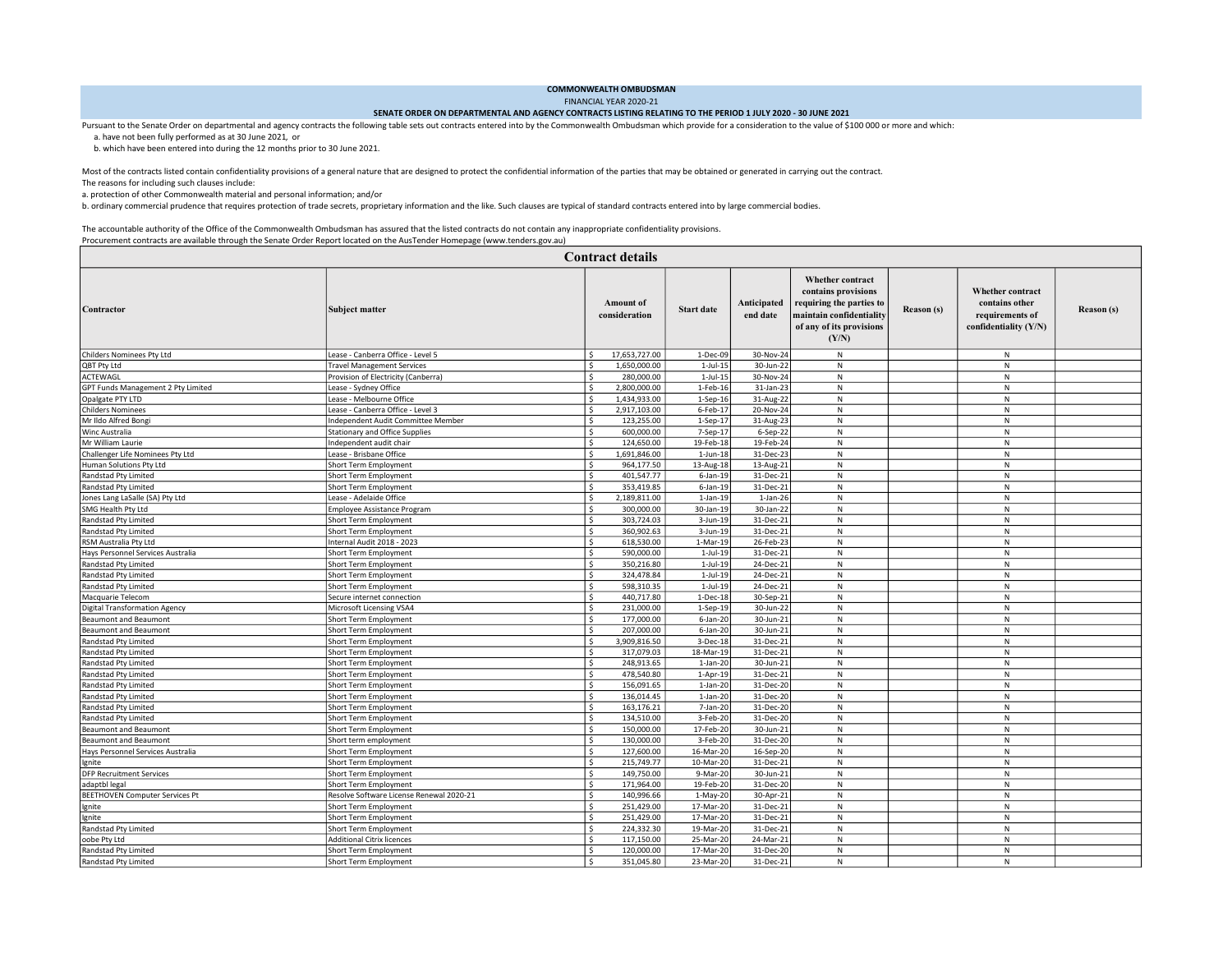## COMMONWEALTH OMBUDSMAN

FINANCIAL YEAR 2020-21

## SENATE ORDER ON DEPARTMENTAL AND AGENCY CONTRACTS LISTING RELATING TO THE PERIOD 1 JULY 2020 - 30 JUNE 2021

Pursuant to the Senate Order on departmental and agency contracts the following table sets out contracts entered into by the Commonwealth Ombudsman which provide for a consideration to the value of \$100 000 or more and whi

a. have not been fully performed as at 30 June 2021, or

b. which have been entered into during the 12 months prior to 30 June 2021.

Most of the contracts listed contain confidentiality provisions of a general nature that are designed to protect the confidential information of the parties that may be obtained or generated in carrying out the contract.

The reasons for including such clauses include:

a. protection of other Commonwealth material and personal information; and/or

b. ordinary commercial prudence that requires protection of trade secrets, proprietary information and the like. Such clauses are typical of standard contracts entered into by large commercial bodies.

 The accountable authority of the Office of the Commonwealth Ombudsman has assured that the listed contracts do not contain any inappropriate confidentiality provisions. Procurement contracts are available through the Senate Order Report located on the AusTender Homepage (www.tenders.gov.au)

| <b>Contract details</b>               |                                          |                                       |                   |                         |                                                                                                                                      |            |                                                                                         |                   |  |  |  |
|---------------------------------------|------------------------------------------|---------------------------------------|-------------------|-------------------------|--------------------------------------------------------------------------------------------------------------------------------------|------------|-----------------------------------------------------------------------------------------|-------------------|--|--|--|
| Contractor                            | Subject matter                           | Amount of<br>consideration            | <b>Start date</b> | Anticipated<br>end date | Whether contract<br>contains provisions<br>requiring the parties to<br>maintain confidentiality<br>of any of its provisions<br>(Y/N) | Reason (s) | <b>Whether contract</b><br>contains other<br>requirements of<br>confidentiality $(Y/N)$ | <b>Reason</b> (s) |  |  |  |
| Childers Nominees Pty Ltd             | Lease - Canberra Office - Level 5        | 17,653,727.00<br>\$                   | 1-Dec-09          | 30-Nov-24               | $\mathsf{N}$                                                                                                                         |            | N                                                                                       |                   |  |  |  |
| QBT Pty Ltd                           | <b>Travel Management Services</b>        | Ś<br>1,650,000.00                     | $1$ -Jul- $15$    | 30-Jun-22               | ${\sf N}$                                                                                                                            |            | ${\sf N}$                                                                               |                   |  |  |  |
| ACTEWAGL                              | Provision of Electricity (Canberra)      | Š.<br>280,000.00                      | $1$ -Jul- $15$    | 30-Nov-24               | $\mathsf{N}$                                                                                                                         |            | N                                                                                       |                   |  |  |  |
| GPT Funds Management 2 Pty Limited    | Lease - Sydney Office                    | \$<br>2,800,000.00                    | 1-Feb-16          | 31-Jan-23               | ${\sf N}$                                                                                                                            |            | ${\sf N}$                                                                               |                   |  |  |  |
| Opalgate PTY LTD                      | Lease - Melbourne Office                 | Ś<br>1,434,933.00                     | $1-$ Sep $-16$    | 31-Aug-22               | $\mathsf{N}$                                                                                                                         |            | N                                                                                       |                   |  |  |  |
| <b>Childers Nominees</b>              | ease - Canberra Office - Level 3         | Š.<br>2,917,103.00                    | 6-Feb-17          | 20-Nov-24               | $\mathsf{N}$                                                                                                                         |            | N                                                                                       |                   |  |  |  |
| Mr Ildo Alfred Bong                   | Independent Audit Committee Member       | S,<br>123,255.00                      | 1-Sep-17          | 31-Aug-23               | ${\sf N}$                                                                                                                            |            | ${\sf N}$                                                                               |                   |  |  |  |
| Winc Australia                        | <b>Stationary and Office Supplies</b>    | Ś<br>600,000.00                       | 7-Sep-17          | 6-Sep-22                | N                                                                                                                                    |            | ${\sf N}$                                                                               |                   |  |  |  |
| Mr William Laurie                     | Independent audit chair                  | S.<br>124,650.00                      | 19-Feb-18         | 19-Feb-24               | N                                                                                                                                    |            | N                                                                                       |                   |  |  |  |
| Challenger Life Nominees Pty Ltd      | Lease - Brisbane Office                  | S.<br>1,691,846.00                    | $1$ -Jun- $18$    | 31-Dec-23               | N                                                                                                                                    |            | ${\sf N}$                                                                               |                   |  |  |  |
| Human Solutions Pty Ltd               | Short Term Employment                    | Ś<br>964,177.50                       | 13-Aug-18         | 13-Aug-21               | N                                                                                                                                    |            | N                                                                                       |                   |  |  |  |
| Randstad Pty Limited                  | Short Term Employment                    | Ś<br>401,547.77                       | $6$ -Jan-19       | 31-Dec-21               | $\mathsf{N}$                                                                                                                         |            | N                                                                                       |                   |  |  |  |
| Randstad Pty Limited                  | Short Term Employment                    | Ŝ.<br>353,419.85                      | $6$ -Jan-19       | 31-Dec-21               | N                                                                                                                                    |            | N                                                                                       |                   |  |  |  |
| Jones Lang LaSalle (SA) Pty Ltd       | Lease - Adelaide Office                  | Ś<br>2,189,811.00                     | $1-Jan-19$        | $1-Jan-26$              | N                                                                                                                                    |            | N                                                                                       |                   |  |  |  |
| SMG Health Pty Ltd                    | <b>Employee Assistance Program</b>       | S.<br>300,000.00                      | 30-Jan-19         | 30-Jan-22               | ${\sf N}$                                                                                                                            |            | ${\sf N}$                                                                               |                   |  |  |  |
| Randstad Pty Limited                  | Short Term Employment                    | Ŝ.<br>303,724.03                      | 3-Jun-19          | 31-Dec-21               | N                                                                                                                                    |            | N                                                                                       |                   |  |  |  |
| Randstad Pty Limited                  | Short Term Employment                    | Ś<br>360,902.63                       | 3-Jun-19          | 31-Dec-21               | N                                                                                                                                    |            | N                                                                                       |                   |  |  |  |
|                                       |                                          | S.<br>618,530.00                      | 1-Mar-19          | 26-Feb-23               | ${\sf N}$                                                                                                                            |            | ${\sf N}$                                                                               |                   |  |  |  |
| RSM Australia Pty Ltd                 | Internal Audit 2018 - 2023               | S.                                    |                   |                         | N                                                                                                                                    |            | N                                                                                       |                   |  |  |  |
| Hays Personnel Services Australia     | Short Term Employment                    | 590,000.00<br>Ś                       | $1$ -Jul-19       | 31-Dec-21               |                                                                                                                                      |            |                                                                                         |                   |  |  |  |
| Randstad Pty Limited                  | Short Term Employment                    | 350,216.80                            | $1$ -Jul-19       | 24-Dec-21               | ${\sf N}$                                                                                                                            |            | N                                                                                       |                   |  |  |  |
| Randstad Pty Limited                  | Short Term Employment                    | S.<br>324,478.84                      | $1$ -Jul-19       | 24-Dec-21               | $\mathsf{N}$                                                                                                                         |            | $\mathsf{N}$                                                                            |                   |  |  |  |
| Randstad Pty Limited                  | Short Term Employment                    | S.<br>598,310.35                      | $1$ -Jul-19       | 24-Dec-21               | N                                                                                                                                    |            | N                                                                                       |                   |  |  |  |
| Macquarie Telecom                     | Secure internet connection               | $\overline{\mathsf{S}}$<br>440,717.80 | 1-Dec-18          | 30-Sep-21               | N                                                                                                                                    |            | N                                                                                       |                   |  |  |  |
| <b>Digital Transformation Agency</b>  | Microsoft Licensing VSA4                 | S.<br>231,000.00                      | $1-Sep-19$        | 30-Jun-22               | $\mathsf{N}$                                                                                                                         |            | N                                                                                       |                   |  |  |  |
| <b>Beaumont and Beaumont</b>          | Short Term Employment                    | S.<br>177,000.00                      | $6$ -Jan-20       | 30-Jun-21               | $\mathsf{N}$                                                                                                                         |            | N                                                                                       |                   |  |  |  |
| <b>Beaumont and Beaumont</b>          | Short Term Employment                    | $\overline{\mathsf{s}}$<br>207,000.00 | $6$ -Jan-20       | 30-Jun-21               | N                                                                                                                                    |            | N                                                                                       |                   |  |  |  |
| Randstad Pty Limited                  | Short Term Employment                    | S.<br>3,909,816.50                    | 3-Dec-18          | 31-Dec-21               | $\mathsf{N}$                                                                                                                         |            | N                                                                                       |                   |  |  |  |
| Randstad Pty Limited                  | Short Term Employment                    | S.<br>317,079.03                      | 18-Mar-19         | 31-Dec-21               | $\mathsf{N}$                                                                                                                         |            | ${\sf N}$                                                                               |                   |  |  |  |
| Randstad Pty Limited                  | Short Term Employment                    | \$<br>248,913.65                      | $1-Jan-20$        | 30-Jun-21               | N                                                                                                                                    |            | N                                                                                       |                   |  |  |  |
| Randstad Pty Limited                  | Short Term Employment                    | S.<br>478,540.80                      | $1-Apr-19$        | 31-Dec-21               | $\mathsf{N}$                                                                                                                         |            | N                                                                                       |                   |  |  |  |
| Randstad Pty Limited                  | Short Term Employment                    | \$<br>156,091.65                      | $1-Jan-20$        | 31-Dec-20               | $\mathsf{N}$                                                                                                                         |            | N                                                                                       |                   |  |  |  |
| Randstad Pty Limited                  | Short Term Employment                    | $\overline{\mathsf{s}}$<br>136,014.45 | $1-Jan-20$        | 31-Dec-20               | N                                                                                                                                    |            | N                                                                                       |                   |  |  |  |
| Randstad Pty Limited                  | Short Term Employment                    | S,<br>163,176.21                      | 7-Jan-20          | 31-Dec-20               | N                                                                                                                                    |            | N                                                                                       |                   |  |  |  |
| Randstad Pty Limited                  | Short Term Employment                    | Ś<br>134,510.00                       | 3-Feb-20          | 31-Dec-20               | ${\sf N}$                                                                                                                            |            | ${\sf N}$                                                                               |                   |  |  |  |
| <b>Beaumont and Beaumont</b>          | Short Term Employment                    | \$<br>150,000.00                      | 17-Feb-20         | 30-Jun-21               | N                                                                                                                                    |            | N                                                                                       |                   |  |  |  |
| <b>Beaumont and Beaumont</b>          | Short term employment                    | S.<br>130,000.00                      | 3-Feb-20          | 31-Dec-20               | $\,$ N                                                                                                                               |            | ${\sf N}$                                                                               |                   |  |  |  |
| Hays Personnel Services Australia     | Short Term Employment                    | Ś<br>127,600.00                       | 16-Mar-20         | 16-Sep-20               | ${\sf N}$                                                                                                                            |            | ${\sf N}$                                                                               |                   |  |  |  |
| Ignite                                | Short Term Employment                    | \$<br>215,749.77                      | 10-Mar-20         | 31-Dec-21               | N                                                                                                                                    |            | N                                                                                       |                   |  |  |  |
| <b>DFP Recruitment Services</b>       | Short Term Employment                    | S.<br>149,750.00                      | 9-Mar-20          | 30-Jun-21               | $\,$ N                                                                                                                               |            | ${\sf N}$                                                                               |                   |  |  |  |
| adaptbl legal                         | Short Term Employment                    | S.<br>171,964.00                      | 19-Feb-20         | 31-Dec-20               | N                                                                                                                                    |            | N                                                                                       |                   |  |  |  |
| <b>BEETHOVEN Computer Services Pt</b> | Resolve Software License Renewal 2020-21 | S.<br>140,996.66                      | $1-May-20$        | 30-Apr-21               | N                                                                                                                                    |            | N                                                                                       |                   |  |  |  |
| Ignite                                | Short Term Employment                    | $\sqrt{2}$<br>251,429.00              | 17-Mar-20         | 31-Dec-21               | N                                                                                                                                    |            | N                                                                                       |                   |  |  |  |
| Ignite                                | Short Term Employment                    | Ś<br>251,429.00                       | 17-Mar-20         | 31-Dec-21               | N                                                                                                                                    |            | N                                                                                       |                   |  |  |  |
| Randstad Pty Limited                  | Short Term Employment                    | S.<br>224,332.30                      | 19-Mar-20         | 31-Dec-21               | N                                                                                                                                    |            | N                                                                                       |                   |  |  |  |
| oobe Pty Ltd                          | <b>Additional Citrix licences</b>        | Ŝ.<br>117,150.00                      | 25-Mar-20         | 24-Mar-21               | N                                                                                                                                    |            | N                                                                                       |                   |  |  |  |
| Randstad Pty Limited                  | Short Term Employment                    | Ś<br>120,000.00                       | 17-Mar-20         | 31-Dec-20               | N                                                                                                                                    |            | N                                                                                       |                   |  |  |  |
| Randstad Pty Limited                  | Short Term Employment                    | \$<br>351,045.80                      | 23-Mar-20         | 31-Dec-21               | N                                                                                                                                    |            | N                                                                                       |                   |  |  |  |